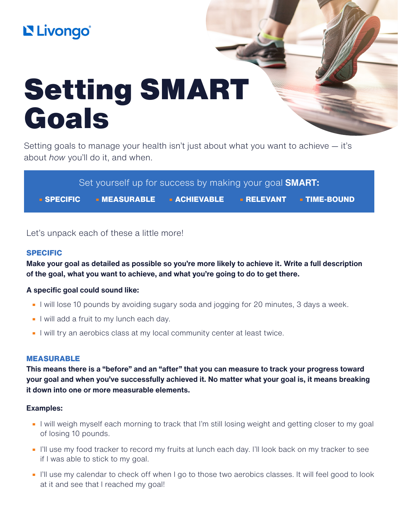# L'Uongo®

# Setting SMART Goals

Setting goals to manage your health isn't just about what you want to achieve — it's about *how* you'll do it, and when.

Set yourself up for success by making your goal **SMART:**

**• SPECIFIC • MEASURABLE • ACHIEVABLE • RELEVANT • TIME-BOUND**

Let's unpack each of these a little more!

# **SPECIFIC**

**Make your goal as detailed as possible so you're more likely to achieve it. Write a full description of the goal, what you want to achieve, and what you're going to do to get there.**

# **A specific goal could sound like:**

- **•** I will lose 10 pounds by avoiding sugary soda and jogging for 20 minutes, 3 days a week.
- **•** I will add a fruit to my lunch each day.
- **•** I will try an aerobics class at my local community center at least twice.

# **MEASURABLE**

**This means there is a "before" and an "after" that you can measure to track your progress toward your goal and when you've successfully achieved it. No matter what your goal is, it means breaking it down into one or more measurable elements.**

#### **Examples:**

- **•** I will weigh myself each morning to track that I'm still losing weight and getting closer to my goal of losing 10 pounds.
- **•** I'll use my food tracker to record my fruits at lunch each day. I'll look back on my tracker to see if I was able to stick to my goal.
- **•** I'll use my calendar to check off when I go to those two aerobics classes. It will feel good to look at it and see that I reached my goal!